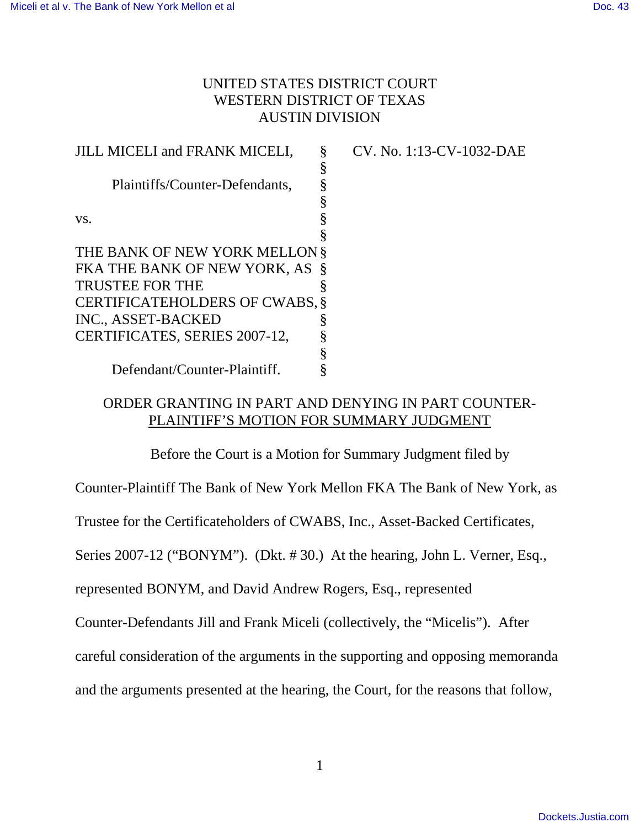# UNITED STATES DISTRICT COURT WESTERN DISTRICT OF TEXAS AUSTIN DIVISION

JILL MICELI and FRANK MICELI, Plaintiffs/Counter-Defendants, vs. THE BANK OF NEW YORK MELLON § FKA THE BANK OF NEW YORK, AS § TRUSTEE FOR THE CERTIFICATEHOLDERS OF CWABS, § INC., ASSET-BACKED CERTIFICATES, SERIES 2007-12, Defendant/Counter-Plaintiff. § § § § § § § § § § § CV. No. 1:13-CV-1032-DAE

# ORDER GRANTING IN PART AND DENYING IN PART COUNTER-PLAINTIFF'S MOTION FOR SUMMARY JUDGMENT

Before the Court is a Motion for Summary Judgment filed by

Counter-Plaintiff The Bank of New York Mellon FKA The Bank of New York, as

Trustee for the Certificateholders of CWABS, Inc., Asset-Backed Certificates,

Series 2007-12 ("BONYM"). (Dkt. # 30.) At the hearing, John L. Verner, Esq.,

represented BONYM, and David Andrew Rogers, Esq., represented

Counter-Defendants Jill and Frank Miceli (collectively, the "Micelis"). After

careful consideration of the arguments in the supporting and opposing memoranda

and the arguments presented at the hearing, the Court, for the reasons that follow,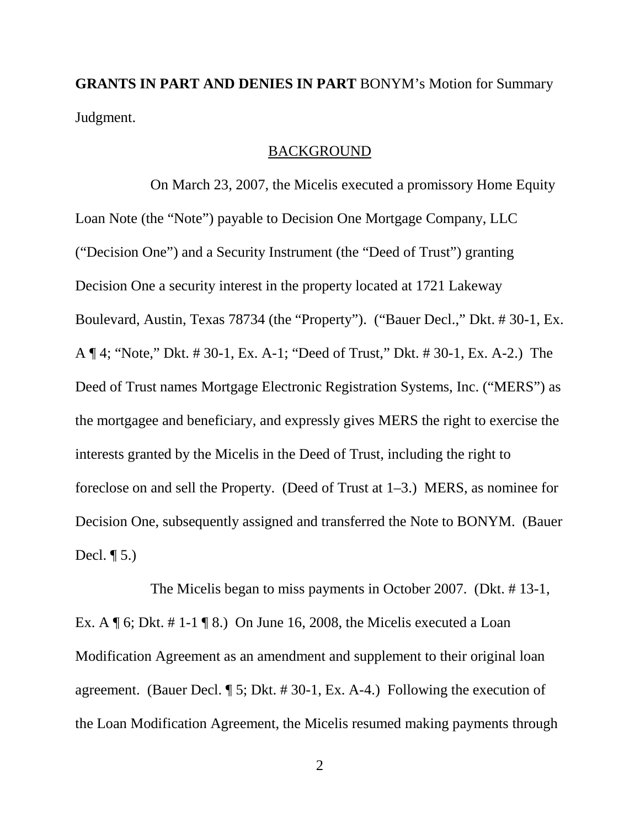**GRANTS IN PART AND DENIES IN PART** BONYM's Motion for Summary Judgment.

### BACKGROUND

 On March 23, 2007, the Micelis executed a promissory Home Equity Loan Note (the "Note") payable to Decision One Mortgage Company, LLC ("Decision One") and a Security Instrument (the "Deed of Trust") granting Decision One a security interest in the property located at 1721 Lakeway Boulevard, Austin, Texas 78734 (the "Property"). ("Bauer Decl.," Dkt. # 30-1, Ex. A ¶ 4; "Note," Dkt. # 30-1, Ex. A-1; "Deed of Trust," Dkt. # 30-1, Ex. A-2.) The Deed of Trust names Mortgage Electronic Registration Systems, Inc. ("MERS") as the mortgagee and beneficiary, and expressly gives MERS the right to exercise the interests granted by the Micelis in the Deed of Trust, including the right to foreclose on and sell the Property. (Deed of Trust at 1–3.) MERS, as nominee for Decision One, subsequently assigned and transferred the Note to BONYM. (Bauer Decl.  $\P$  5.)

 The Micelis began to miss payments in October 2007. (Dkt. # 13-1, Ex. A  $\P$  6; Dkt. # 1-1  $\P$  8.) On June 16, 2008, the Micelis executed a Loan Modification Agreement as an amendment and supplement to their original loan agreement. (Bauer Decl. ¶ 5; Dkt. # 30-1, Ex. A-4.) Following the execution of the Loan Modification Agreement, the Micelis resumed making payments through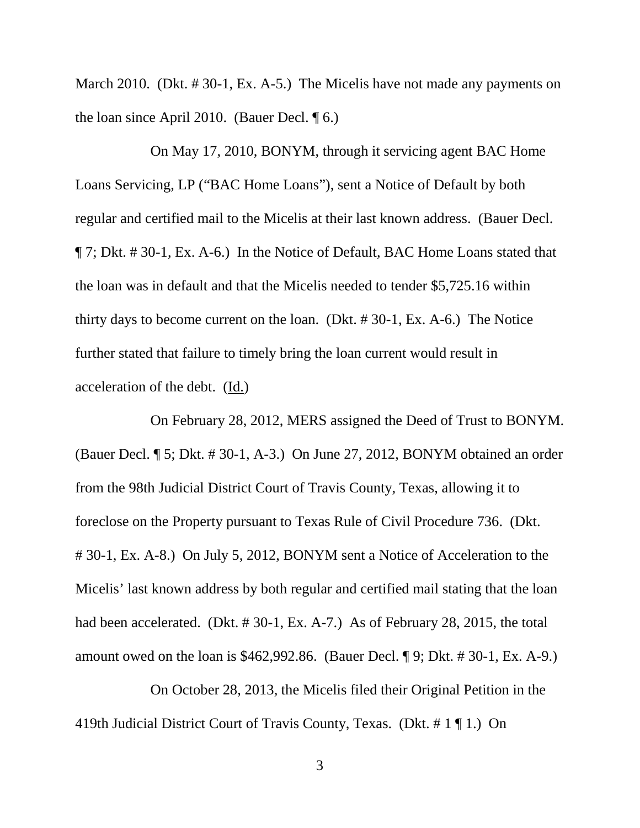March 2010. (Dkt. # 30-1, Ex. A-5.) The Micelis have not made any payments on the loan since April 2010. (Bauer Decl. ¶ 6.)

 On May 17, 2010, BONYM, through it servicing agent BAC Home Loans Servicing, LP ("BAC Home Loans"), sent a Notice of Default by both regular and certified mail to the Micelis at their last known address. (Bauer Decl. ¶ 7; Dkt. # 30-1, Ex. A-6.) In the Notice of Default, BAC Home Loans stated that the loan was in default and that the Micelis needed to tender \$5,725.16 within thirty days to become current on the loan. (Dkt. # 30-1, Ex. A-6.) The Notice further stated that failure to timely bring the loan current would result in acceleration of the debt. (Id.)

 On February 28, 2012, MERS assigned the Deed of Trust to BONYM. (Bauer Decl. ¶ 5; Dkt. # 30-1, A-3.) On June 27, 2012, BONYM obtained an order from the 98th Judicial District Court of Travis County, Texas, allowing it to foreclose on the Property pursuant to Texas Rule of Civil Procedure 736. (Dkt. # 30-1, Ex. A-8.) On July 5, 2012, BONYM sent a Notice of Acceleration to the Micelis' last known address by both regular and certified mail stating that the loan had been accelerated. (Dkt. # 30-1, Ex. A-7.) As of February 28, 2015, the total amount owed on the loan is \$462,992.86. (Bauer Decl. ¶ 9; Dkt. # 30-1, Ex. A-9.)

 On October 28, 2013, the Micelis filed their Original Petition in the 419th Judicial District Court of Travis County, Texas. (Dkt. # 1 ¶ 1.) On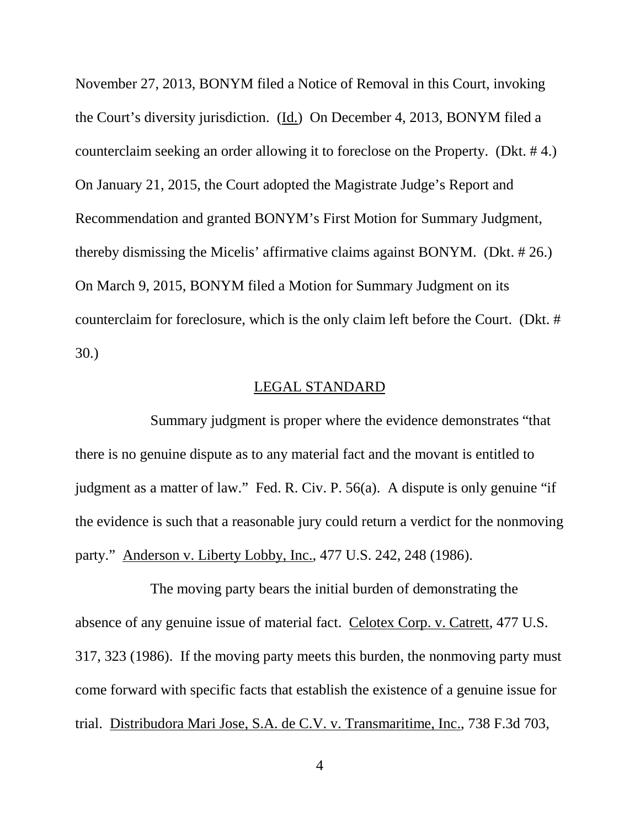November 27, 2013, BONYM filed a Notice of Removal in this Court, invoking the Court's diversity jurisdiction. (Id.) On December 4, 2013, BONYM filed a counterclaim seeking an order allowing it to foreclose on the Property. (Dkt. # 4.) On January 21, 2015, the Court adopted the Magistrate Judge's Report and Recommendation and granted BONYM's First Motion for Summary Judgment, thereby dismissing the Micelis' affirmative claims against BONYM. (Dkt. # 26.) On March 9, 2015, BONYM filed a Motion for Summary Judgment on its counterclaim for foreclosure, which is the only claim left before the Court. (Dkt. # 30.)

### LEGAL STANDARD

 Summary judgment is proper where the evidence demonstrates "that there is no genuine dispute as to any material fact and the movant is entitled to judgment as a matter of law." Fed. R. Civ. P. 56(a). A dispute is only genuine "if the evidence is such that a reasonable jury could return a verdict for the nonmoving party." Anderson v. Liberty Lobby, Inc., 477 U.S. 242, 248 (1986).

 The moving party bears the initial burden of demonstrating the absence of any genuine issue of material fact. Celotex Corp. v. Catrett, 477 U.S. 317, 323 (1986). If the moving party meets this burden, the nonmoving party must come forward with specific facts that establish the existence of a genuine issue for trial. Distribudora Mari Jose, S.A. de C.V. v. Transmaritime, Inc., 738 F.3d 703,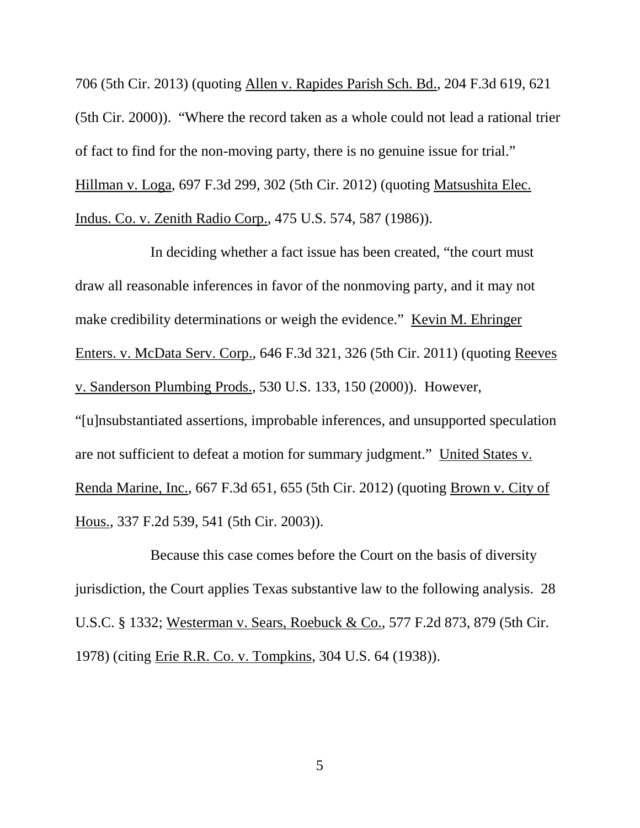706 (5th Cir. 2013) (quoting Allen v. Rapides Parish Sch. Bd., 204 F.3d 619, 621 (5th Cir. 2000)). "Where the record taken as a whole could not lead a rational trier of fact to find for the non-moving party, there is no genuine issue for trial." Hillman v. Loga, 697 F.3d 299, 302 (5th Cir. 2012) (quoting Matsushita Elec. Indus. Co. v. Zenith Radio Corp., 475 U.S. 574, 587 (1986)).

 In deciding whether a fact issue has been created, "the court must draw all reasonable inferences in favor of the nonmoving party, and it may not make credibility determinations or weigh the evidence." Kevin M. Ehringer Enters. v. McData Serv. Corp., 646 F.3d 321, 326 (5th Cir. 2011) (quoting Reeves v. Sanderson Plumbing Prods., 530 U.S. 133, 150 (2000)). However, "[u]nsubstantiated assertions, improbable inferences, and unsupported speculation are not sufficient to defeat a motion for summary judgment." United States v. Renda Marine, Inc., 667 F.3d 651, 655 (5th Cir. 2012) (quoting Brown v. City of Hous., 337 F.2d 539, 541 (5th Cir. 2003)).

 Because this case comes before the Court on the basis of diversity jurisdiction, the Court applies Texas substantive law to the following analysis. 28 U.S.C. § 1332; Westerman v. Sears, Roebuck & Co., 577 F.2d 873, 879 (5th Cir. 1978) (citing Erie R.R. Co. v. Tompkins, 304 U.S. 64 (1938)).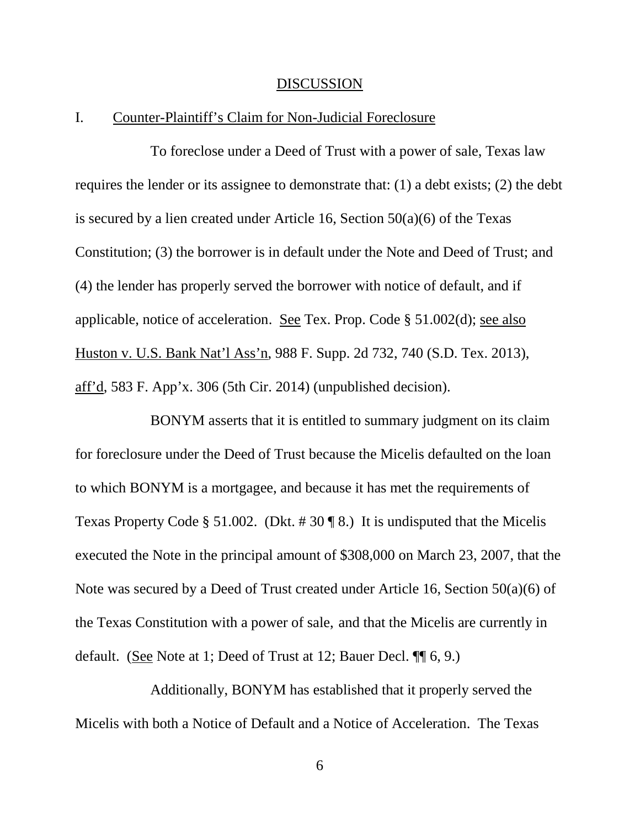#### DISCUSSION

## I. Counter-Plaintiff's Claim for Non-Judicial Foreclosure

 To foreclose under a Deed of Trust with a power of sale, Texas law requires the lender or its assignee to demonstrate that: (1) a debt exists; (2) the debt is secured by a lien created under Article 16, Section  $50(a)(6)$  of the Texas Constitution; (3) the borrower is in default under the Note and Deed of Trust; and (4) the lender has properly served the borrower with notice of default, and if applicable, notice of acceleration. See Tex. Prop. Code § 51.002(d); see also Huston v. U.S. Bank Nat'l Ass'n, 988 F. Supp. 2d 732, 740 (S.D. Tex. 2013), aff'd, 583 F. App'x. 306 (5th Cir. 2014) (unpublished decision).

 BONYM asserts that it is entitled to summary judgment on its claim for foreclosure under the Deed of Trust because the Micelis defaulted on the loan to which BONYM is a mortgagee, and because it has met the requirements of Texas Property Code § 51.002. (Dkt.  $\# 30 \P 8$ .) It is undisputed that the Micelis executed the Note in the principal amount of \$308,000 on March 23, 2007, that the Note was secured by a Deed of Trust created under Article 16, Section 50(a)(6) of the Texas Constitution with a power of sale, and that the Micelis are currently in default. (See Note at 1; Deed of Trust at 12; Bauer Decl. ¶¶ 6, 9.)

 Additionally, BONYM has established that it properly served the Micelis with both a Notice of Default and a Notice of Acceleration. The Texas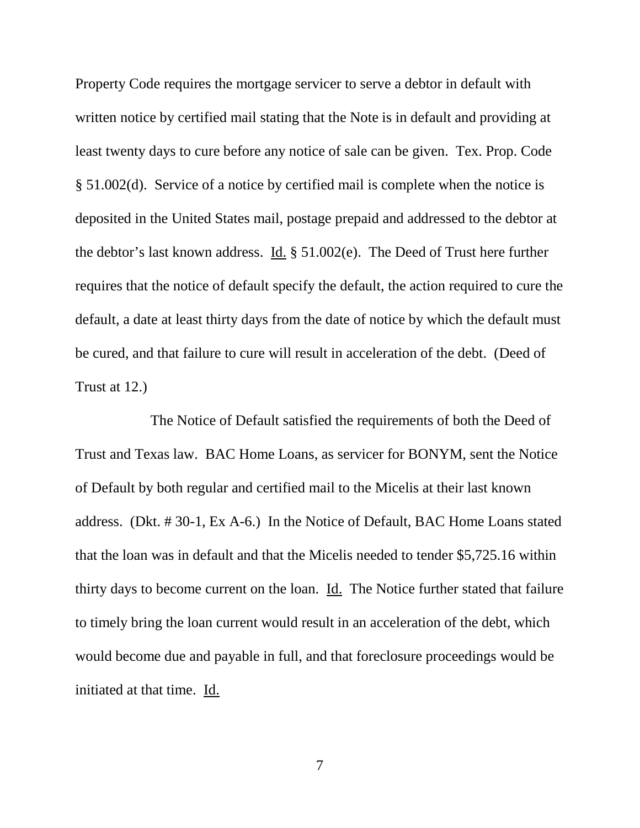Property Code requires the mortgage servicer to serve a debtor in default with written notice by certified mail stating that the Note is in default and providing at least twenty days to cure before any notice of sale can be given. Tex. Prop. Code § 51.002(d). Service of a notice by certified mail is complete when the notice is deposited in the United States mail, postage prepaid and addressed to the debtor at the debtor's last known address. Id. § 51.002(e). The Deed of Trust here further requires that the notice of default specify the default, the action required to cure the default, a date at least thirty days from the date of notice by which the default must be cured, and that failure to cure will result in acceleration of the debt. (Deed of Trust at 12.)

 The Notice of Default satisfied the requirements of both the Deed of Trust and Texas law. BAC Home Loans, as servicer for BONYM, sent the Notice of Default by both regular and certified mail to the Micelis at their last known address. (Dkt. # 30-1, Ex A-6.) In the Notice of Default, BAC Home Loans stated that the loan was in default and that the Micelis needed to tender \$5,725.16 within thirty days to become current on the loan. Id. The Notice further stated that failure to timely bring the loan current would result in an acceleration of the debt, which would become due and payable in full, and that foreclosure proceedings would be initiated at that time. Id.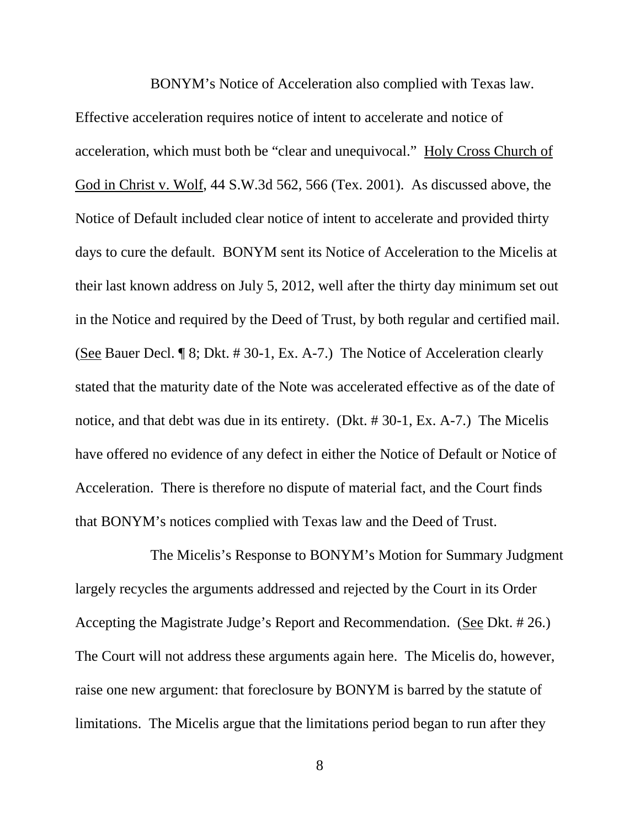BONYM's Notice of Acceleration also complied with Texas law.

Effective acceleration requires notice of intent to accelerate and notice of acceleration, which must both be "clear and unequivocal." Holy Cross Church of God in Christ v. Wolf, 44 S.W.3d 562, 566 (Tex. 2001). As discussed above, the Notice of Default included clear notice of intent to accelerate and provided thirty days to cure the default. BONYM sent its Notice of Acceleration to the Micelis at their last known address on July 5, 2012, well after the thirty day minimum set out in the Notice and required by the Deed of Trust, by both regular and certified mail. (See Bauer Decl. ¶ 8; Dkt. # 30-1, Ex. A-7.) The Notice of Acceleration clearly stated that the maturity date of the Note was accelerated effective as of the date of notice, and that debt was due in its entirety. (Dkt. # 30-1, Ex. A-7.) The Micelis have offered no evidence of any defect in either the Notice of Default or Notice of Acceleration. There is therefore no dispute of material fact, and the Court finds that BONYM's notices complied with Texas law and the Deed of Trust.

 The Micelis's Response to BONYM's Motion for Summary Judgment largely recycles the arguments addressed and rejected by the Court in its Order Accepting the Magistrate Judge's Report and Recommendation. (See Dkt. # 26.) The Court will not address these arguments again here. The Micelis do, however, raise one new argument: that foreclosure by BONYM is barred by the statute of limitations. The Micelis argue that the limitations period began to run after they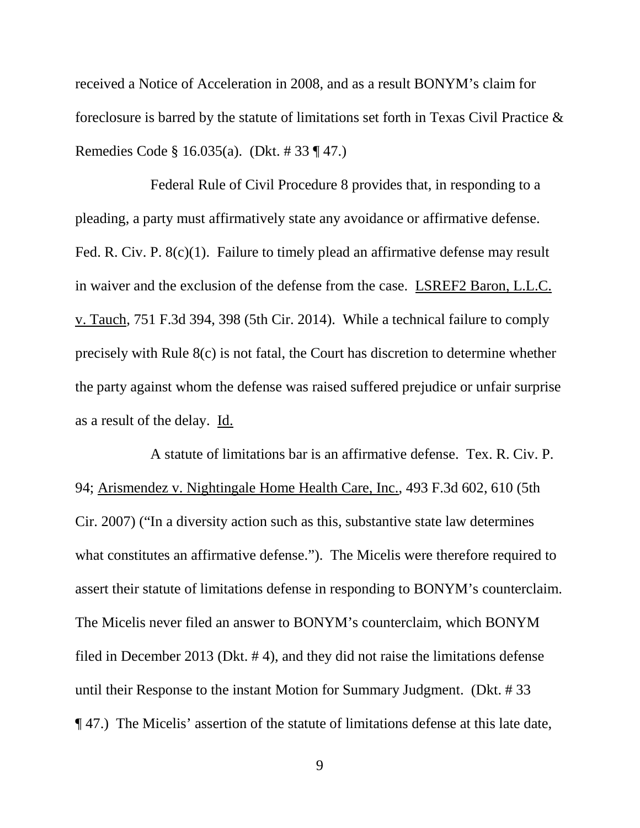received a Notice of Acceleration in 2008, and as a result BONYM's claim for foreclosure is barred by the statute of limitations set forth in Texas Civil Practice & Remedies Code § 16.035(a). (Dkt. # 33 ¶ 47.)

 Federal Rule of Civil Procedure 8 provides that, in responding to a pleading, a party must affirmatively state any avoidance or affirmative defense. Fed. R. Civ. P. 8(c)(1). Failure to timely plead an affirmative defense may result in waiver and the exclusion of the defense from the case. LSREF2 Baron, L.L.C. v. Tauch, 751 F.3d 394, 398 (5th Cir. 2014). While a technical failure to comply precisely with Rule 8(c) is not fatal, the Court has discretion to determine whether the party against whom the defense was raised suffered prejudice or unfair surprise as a result of the delay. Id.

 A statute of limitations bar is an affirmative defense. Tex. R. Civ. P. 94; Arismendez v. Nightingale Home Health Care, Inc., 493 F.3d 602, 610 (5th Cir. 2007) ("In a diversity action such as this, substantive state law determines what constitutes an affirmative defense."). The Micelis were therefore required to assert their statute of limitations defense in responding to BONYM's counterclaim. The Micelis never filed an answer to BONYM's counterclaim, which BONYM filed in December 2013 (Dkt. # 4), and they did not raise the limitations defense until their Response to the instant Motion for Summary Judgment. (Dkt. # 33 ¶ 47.) The Micelis' assertion of the statute of limitations defense at this late date,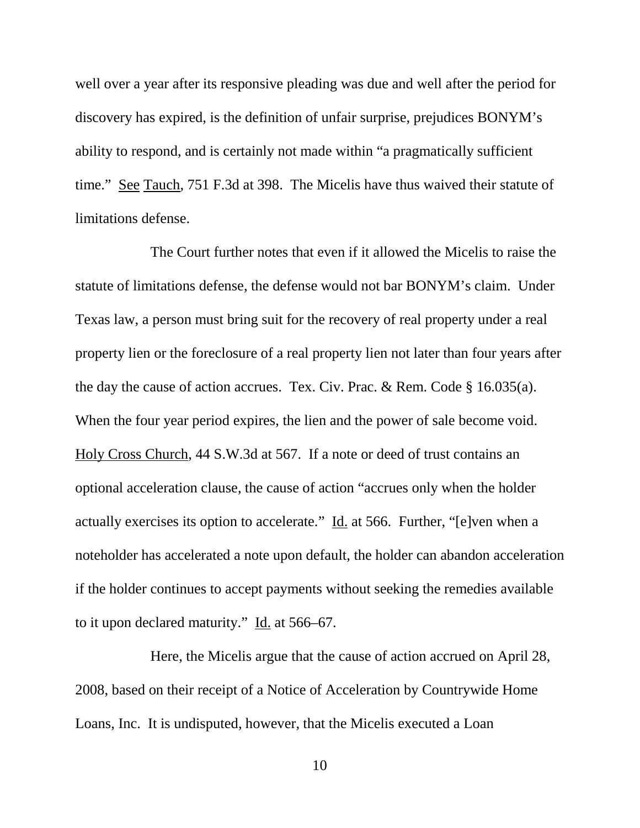well over a year after its responsive pleading was due and well after the period for discovery has expired, is the definition of unfair surprise, prejudices BONYM's ability to respond, and is certainly not made within "a pragmatically sufficient time." See Tauch, 751 F.3d at 398. The Micelis have thus waived their statute of limitations defense.

 The Court further notes that even if it allowed the Micelis to raise the statute of limitations defense, the defense would not bar BONYM's claim. Under Texas law, a person must bring suit for the recovery of real property under a real property lien or the foreclosure of a real property lien not later than four years after the day the cause of action accrues. Tex. Civ. Prac. & Rem. Code § 16.035(a). When the four year period expires, the lien and the power of sale become void. Holy Cross Church, 44 S.W.3d at 567. If a note or deed of trust contains an optional acceleration clause, the cause of action "accrues only when the holder actually exercises its option to accelerate." Id. at 566. Further, "[e]ven when a noteholder has accelerated a note upon default, the holder can abandon acceleration if the holder continues to accept payments without seeking the remedies available to it upon declared maturity." Id. at 566–67.

 Here, the Micelis argue that the cause of action accrued on April 28, 2008, based on their receipt of a Notice of Acceleration by Countrywide Home Loans, Inc. It is undisputed, however, that the Micelis executed a Loan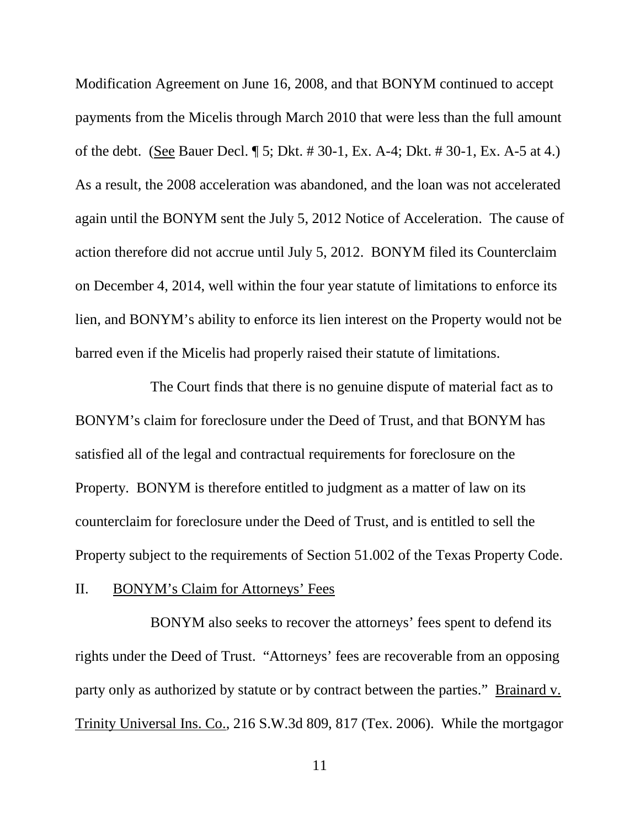Modification Agreement on June 16, 2008, and that BONYM continued to accept payments from the Micelis through March 2010 that were less than the full amount of the debt. (See Bauer Decl. ¶ 5; Dkt. # 30-1, Ex. A-4; Dkt. # 30-1, Ex. A-5 at 4.) As a result, the 2008 acceleration was abandoned, and the loan was not accelerated again until the BONYM sent the July 5, 2012 Notice of Acceleration. The cause of action therefore did not accrue until July 5, 2012. BONYM filed its Counterclaim on December 4, 2014, well within the four year statute of limitations to enforce its lien, and BONYM's ability to enforce its lien interest on the Property would not be barred even if the Micelis had properly raised their statute of limitations.

 The Court finds that there is no genuine dispute of material fact as to BONYM's claim for foreclosure under the Deed of Trust, and that BONYM has satisfied all of the legal and contractual requirements for foreclosure on the Property. BONYM is therefore entitled to judgment as a matter of law on its counterclaim for foreclosure under the Deed of Trust, and is entitled to sell the Property subject to the requirements of Section 51.002 of the Texas Property Code.

### II. BONYM's Claim for Attorneys' Fees

 BONYM also seeks to recover the attorneys' fees spent to defend its rights under the Deed of Trust. "Attorneys' fees are recoverable from an opposing party only as authorized by statute or by contract between the parties." Brainard v. Trinity Universal Ins. Co., 216 S.W.3d 809, 817 (Tex. 2006). While the mortgagor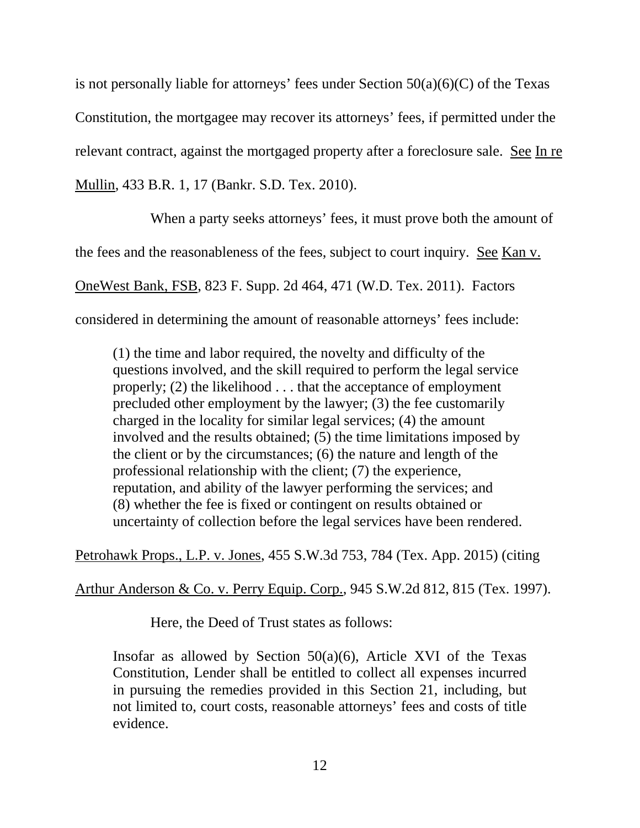is not personally liable for attorneys' fees under Section  $50(a)(6)(C)$  of the Texas Constitution, the mortgagee may recover its attorneys' fees, if permitted under the relevant contract, against the mortgaged property after a foreclosure sale. See In re

Mullin, 433 B.R. 1, 17 (Bankr. S.D. Tex. 2010).

 When a party seeks attorneys' fees, it must prove both the amount of the fees and the reasonableness of the fees, subject to court inquiry. See Kan v. OneWest Bank, FSB, 823 F. Supp. 2d 464, 471 (W.D. Tex. 2011). Factors considered in determining the amount of reasonable attorneys' fees include:

(1) the time and labor required, the novelty and difficulty of the questions involved, and the skill required to perform the legal service properly; (2) the likelihood . . . that the acceptance of employment precluded other employment by the lawyer; (3) the fee customarily charged in the locality for similar legal services; (4) the amount involved and the results obtained; (5) the time limitations imposed by the client or by the circumstances; (6) the nature and length of the professional relationship with the client; (7) the experience, reputation, and ability of the lawyer performing the services; and (8) whether the fee is fixed or contingent on results obtained or uncertainty of collection before the legal services have been rendered.

Petrohawk Props., L.P. v. Jones, 455 S.W.3d 753, 784 (Tex. App. 2015) (citing

Arthur Anderson & Co. v. Perry Equip. Corp., 945 S.W.2d 812, 815 (Tex. 1997).

Here, the Deed of Trust states as follows:

Insofar as allowed by Section  $50(a)(6)$ , Article XVI of the Texas Constitution, Lender shall be entitled to collect all expenses incurred in pursuing the remedies provided in this Section 21, including, but not limited to, court costs, reasonable attorneys' fees and costs of title evidence.